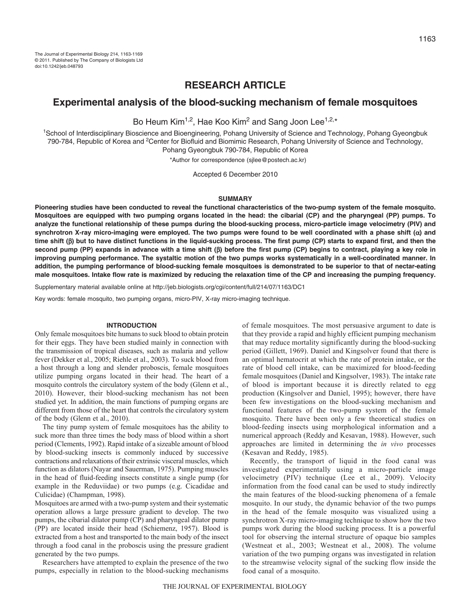# **RESEARCH ARTICLE**

# **Experimental analysis of the blood-sucking mechanism of female mosquitoes**

Bo Heum Kim<sup>1,2</sup>, Hae Koo Kim<sup>2</sup> and Sang Joon Lee<sup>1,2,\*</sup>

1School of Interdisciplinary Bioscience and Bioengineering, Pohang University of Science and Technology, Pohang Gyeongbuk 790-784, Republic of Korea and 2Center for Biofluid and Biomimic Research, Pohang University of Science and Technology, Pohang Gyeongbuk 790-784, Republic of Korea

\*Author for correspondence (sjlee@postech.ac.kr)

Accepted 6 December 2010

#### **SUMMARY**

**Pioneering studies have been conducted to reveal the functional characteristics of the two-pump system of the female mosquito. Mosquitoes are equipped with two pumping organs located in the head: the cibarial (CP) and the pharyngeal (PP) pumps. To analyze the functional relationship of these pumps during the blood-sucking process, micro-particle image velocimetry (PIV) and synchrotron X-ray micro-imaging were employed. The two pumps were found to be well coordinated with a phase shift () and time shift () but to have distinct functions in the liquid-sucking process. The first pump (CP) starts to expand first, and then the second pump (PP) expands in advance with a time shift () before the first pump (CP) begins to contract, playing a key role in improving pumping performance. The systaltic motion of the two pumps works systematically in a well-coordinated manner. In addition, the pumping performance of blood-sucking female mosquitoes is demonstrated to be superior to that of nectar-eating male mosquitoes. Intake flow rate is maximized by reducing the relaxation time of the CP and increasing the pumping frequency.**

Supplementary material available online at http://jeb.biologists.org/cgi/content/full/214/07/1163/DC1

Key words: female mosquito, two pumping organs, micro-PIV, X-ray micro-imaging technique.

#### **INTRODUCTION**

Only female mosquitoes bite humans to suck blood to obtain protein for their eggs. They have been studied mainly in connection with the transmission of tropical diseases, such as malaria and yellow fever (Dekker et al., 2005; Riehle et al., 2003). To suck blood from a host through a long and slender proboscis, female mosquitoes utilize pumping organs located in their head. The heart of a mosquito controls the circulatory system of the body (Glenn et al., 2010). However, their blood-sucking mechanism has not been studied yet. In addition, the main functions of pumping organs are different from those of the heart that controls the circulatory system of the body (Glenn et al., 2010).

The tiny pump system of female mosquitoes has the ability to suck more than three times the body mass of blood within a short period (Clements, 1992). Rapid intake of a sizeable amount of blood by blood-sucking insects is commonly induced by successive contractions and relaxations of their extrinsic visceral muscles, which function as dilators (Nayar and Sauerman, 1975). Pumping muscles in the head of fluid-feeding insects constitute a single pump (for example in the Reduviidae) or two pumps (e.g. Cicadidae and Culicidae) (Champman, 1998).

Mosquitoes are armed with a two-pump system and their systematic operation allows a large pressure gradient to develop. The two pumps, the cibarial dilator pump (CP) and pharyngeal dilator pump (PP) are located inside their head (Schiemenz, 1957). Blood is extracted from a host and transported to the main body of the insect through a food canal in the proboscis using the pressure gradient generated by the two pumps.

Researchers have attempted to explain the presence of the two pumps, especially in relation to the blood-sucking mechanisms of female mosquitoes. The most persuasive argument to date is that they provide a rapid and highly efficient pumping mechanism that may reduce mortality significantly during the blood-sucking period (Gillett, 1969). Daniel and Kingsolver found that there is an optimal hematocrit at which the rate of protein intake, or the rate of blood cell intake, can be maximized for blood-feeding female mosquitoes (Daniel and Kingsolver, 1983). The intake rate of blood is important because it is directly related to egg production (Kingsolver and Daniel, 1995); however, there have been few investigations on the blood-sucking mechanism and functional features of the two-pump system of the female mosquito. There have been only a few theoretical studies on blood-feeding insects using morphological information and a numerical approach (Reddy and Kesavan, 1988). However, such approaches are limited in determining the *in vivo* processes (Kesavan and Reddy, 1985).

Recently, the transport of liquid in the food canal was investigated experimentally using a micro-particle image velocimetry (PIV) technique (Lee et al., 2009). Velocity information from the food canal can be used to study indirectly the main features of the blood-sucking phenomena of a female mosquito. In our study, the dynamic behavior of the two pumps in the head of the female mosquito was visualized using a synchrotron X-ray micro-imaging technique to show how the two pumps work during the blood sucking process. It is a powerful tool for observing the internal structure of opaque bio samples (Westneat et al., 2003; Westneat et al., 2008). The volume variation of the two pumping organs was investigated in relation to the streamwise velocity signal of the sucking flow inside the food canal of a mosquito.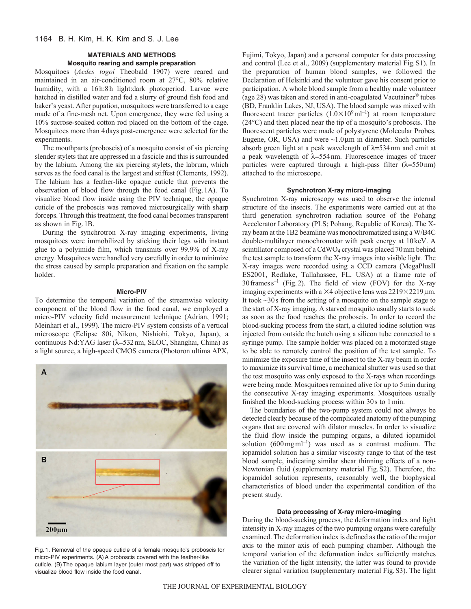# **MATERIALS AND METHODS**

## **Mosquito rearing and sample preparation**

Mosquitoes (*Aedes togoi* Theobald 1907) were reared and maintained in an air-conditioned room at 27°C, 80% relative humidity, with a 16h:8h light:dark photoperiod. Larvae were hatched in distilled water and fed a slurry of ground fish food and baker's yeast. After pupation, mosquitoes were transferred to a cage made of a fine-mesh net. Upon emergence, they were fed using a 10% sucrose-soaked cotton rod placed on the bottom of the cage. Mosquitoes more than 4days post-emergence were selected for the experiments.

The mouthparts (proboscis) of a mosquito consist of six piercing slender stylets that are appressed in a fascicle and this is surrounded by the labium. Among the six piercing stylets, the labrum, which serves as the food canal is the largest and stiffest (Clements, 1992). The labium has a feather-like opaque cuticle that prevents the observation of blood flow through the food canal (Fig.1A). To visualize blood flow inside using the PIV technique, the opaque cuticle of the proboscis was removed microsurgically with sharp forceps. Through this treatment, the food canal becomes transparent as shown in Fig.1B.

During the synchrotron X-ray imaging experiments, living mosquitoes were immobilized by sticking their legs with instant glue to a polyimide film, which transmits over 99.9% of X-ray energy. Mosquitoes were handled very carefully in order to minimize the stress caused by sample preparation and fixation on the sample holder.

#### **Micro-PIV**

To determine the temporal variation of the streamwise velocity component of the blood flow in the food canal, we employed a micro-PIV velocity field measurement technique (Adrian, 1991; Meinhart et al., 1999). The micro-PIV system consists of a vertical microscope (Eclipse 80i, Nikon, Nishiohi, Tokyo, Japan), a continuous Nd:YAG laser ( $\lambda$ =532 nm, SLOC, Shanghai, China) as a light source, a high-speed CMOS camera (Photoron ultima APX,



Fig. 1. Removal of the opaque cuticle of a female mosquito's proboscis for micro-PIV experiments. (A)A proboscis covered with the feather-like cuticle. (B)The opaque labium layer (outer most part) was stripped off to visualize blood flow inside the food canal.

Fujimi, Tokyo, Japan) and a personal computer for data processing and control (Lee et al., 2009) (supplementary material Fig.S1). In the preparation of human blood samples, we followed the Declaration of Helsinki and the volunteer gave his consent prior to participation. A whole blood sample from a healthy male volunteer (age 28) was taken and stored in anti-coagulated Vacutainer® tubes (BD, Franklin Lakes, NJ, USA). The blood sample was mixed with fluorescent tracer particles  $(1.0 \times 10^9 \text{ ml}^{-1})$  at room temperature (24°C) and then placed near the tip of a mosquito's proboscis. The fluorescent particles were made of polystyrene (Molecular Probes, Eugene, OR, USA) and were  $\sim$ 1.0 $\mu$ m in diameter. Such particles absorb green light at a peak wavelength of  $\lambda$ =534nm and emit at a peak wavelength of  $\lambda = 554$  nm. Fluorescence images of tracer particles were captured through a high-pass filter  $(\lambda = 550 \text{ nm})$ attached to the microscope.

## **Synchrotron X-ray micro-imaging**

Synchrotron X-ray microscopy was used to observe the internal structure of the insects. The experiments were carried out at the third generation synchrotron radiation source of the Pohang Accelerator Laboratory (PLS; Pohang, Republic of Korea). The Xray beam at the 1B2 beamline was monochromatized using a W/B4C double-multilayer monochromator with peak energy at 10keV. A scintillator composed of a CdWO<sub>4</sub> crystal was placed 70 mm behind the test sample to transform the X-ray images into visible light. The X-ray images were recorded using a CCD camera (MegaPlusII ES2001, Redlake, Tallahassee, FL, USA) at a frame rate of  $30$  frames  $s^{-1}$  (Fig. 2). The field of view (FOV) for the X-ray imaging experiments with a  $\times$ 4 objective lens was 2219 $\times$ 2219 $\mu$ m. It took ~30s from the setting of a mosquito on the sample stage to the start of X-ray imaging. A starved mosquito usually starts to suck as soon as the food reaches the proboscis. In order to record the blood-sucking process from the start, a diluted iodine solution was injected from outside the hutch using a silicon tube connected to a syringe pump. The sample holder was placed on a motorized stage to be able to remotely control the position of the test sample. To minimize the exposure time of the insect to the X-ray beam in order to maximize its survival time, a mechanical shutter was used so that the test mosquito was only exposed to the X-rays when recordings were being made. Mosquitoes remained alive for up to 5min during the consecutive X-ray imaging experiments. Mosquitoes usually finished the blood-sucking process within 30s to 1min.

The boundaries of the two-pump system could not always be detected clearly because of the complicated anatomy of the pumping organs that are covered with dilator muscles. In order to visualize the fluid flow inside the pumping organs, a diluted iopamidol solution  $(600 \text{ mg} \text{m}^{-1})$  was used as a contrast medium. The iopamidol solution has a similar viscosity range to that of the test blood sample, indicating similar shear thinning effects of a non-Newtonian fluid (supplementary material Fig.S2). Therefore, the iopamidol solution represents, reasonably well, the biophysical characteristics of blood under the experimental condition of the present study.

#### **Data processing of X-ray micro-imaging**

During the blood-sucking process, the deformation index and light intensity in X-ray images of the two pumping organs were carefully examined. The deformation index is defined as the ratio of the major axis to the minor axis of each pumping chamber. Although the temporal variation of the deformation index sufficiently matches the variation of the light intensity, the latter was found to provide clearer signal variation (supplementary material Fig.S3). The light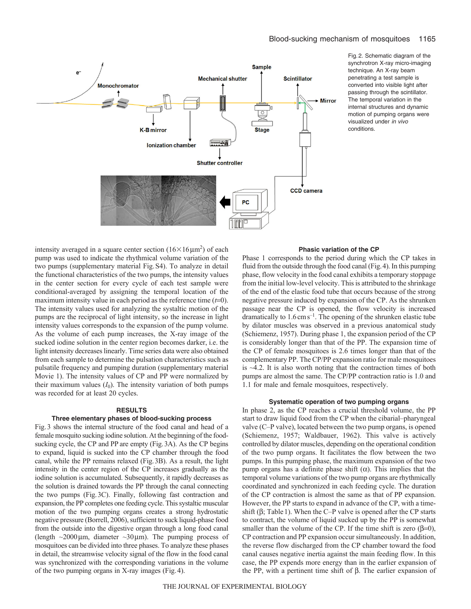

Fig. 2. Schematic diagram of the synchrotron X-ray micro-imaging technique. An X-ray beam penetrating a test sample is converted into visible light after passing through the scintillator. The temporal variation in the internal structures and dynamic motion of pumping organs were visualized under in vivo conditions.

intensity averaged in a square center section  $(16 \times 16 \mu m^2)$  of each pump was used to indicate the rhythmical volume variation of the two pumps (supplementary material Fig.S4). To analyze in detail the functional characteristics of the two pumps, the intensity values in the center section for every cycle of each test sample were conditional-averaged by assigning the temporal location of the maximum intensity value in each period as the reference time  $(t=0)$ . The intensity values used for analyzing the systaltic motion of the pumps are the reciprocal of light intensity, so the increase in light intensity values corresponds to the expansion of the pump volume. As the volume of each pump increases, the X-ray image of the sucked iodine solution in the center region becomes darker, i.e. the light intensity decreases linearly. Time series data were also obtained from each sample to determine the pulsation characteristics such as pulsatile frequency and pumping duration (supplementary material Movie 1). The intensity values of CP and PP were normalized by their maximum values  $(I_0)$ . The intensity variation of both pumps was recorded for at least 20 cycles.

#### **RESULTS**

#### **Three elementary phases of blood-sucking process**

Fig.3 shows the internal structure of the food canal and head of a female mosquito sucking iodine solution. At the beginning of the foodsucking cycle, the CP and PP are empty (Fig.3A). As the CP begins to expand, liquid is sucked into the CP chamber through the food canal, while the PP remains relaxed (Fig.3B). As a result, the light intensity in the center region of the CP increases gradually as the iodine solution is accumulated. Subsequently, it rapidly decreases as the solution is drained towards the PP through the canal connecting the two pumps (Fig.3C). Finally, following fast contraction and expansion, the PP completes one feeding cycle. This systaltic muscular motion of the two pumping organs creates a strong hydrostatic negative pressure (Borrell, 2006), sufficient to suck liquid-phase food from the outside into the digestive organ through a long food canal (length  $\sim$ 2000 µm, diameter  $\sim$ 30 µm). The pumping process of mosquitoes can be divided into three phases. To analyze these phases in detail, the streamwise velocity signal of the flow in the food canal was synchronized with the corresponding variations in the volume of the two pumping organs in X-ray images (Fig.4).

## **Phasic variation of the CP**

Phase 1 corresponds to the period during which the CP takes in fluid from the outside through the food canal (Fig.4). In this pumping phase, flow velocity in the food canal exhibits a temporary stoppage from the initial low-level velocity. This is attributed to the shrinkage of the end of the elastic food tube that occurs because of the strong negative pressure induced by expansion of the CP. As the shrunken passage near the CP is opened, the flow velocity is increased dramatically to  $1.6 \text{ cm s}^{-1}$ . The opening of the shrunken elastic tube by dilator muscles was observed in a previous anatomical study (Schiemenz, 1957). During phase 1, the expansion period of the CP is considerably longer than that of the PP. The expansion time of the CP of female mosquitoes is 2.6 times longer than that of the complementary PP. The CP/PP expansion ratio for male mosquitoes is  $\sim$ 4.2. It is also worth noting that the contraction times of both pumps are almost the same. The CP/PP contraction ratio is 1.0 and 1.1 for male and female mosquitoes, respectively.

## **Systematic operation of two pumping organs**

In phase 2, as the CP reaches a crucial threshold volume, the PP start to draw liquid food from the CP when the cibarial–pharyngeal valve (C–P valve), located between the two pump organs, is opened (Schiemenz, 1957; Waldbauer, 1962). This valve is actively controlled by dilator muscles, depending on the operational condition of the two pump organs. It facilitates the flow between the two pumps. In this pumping phase, the maximum expansion of the two pump organs has a definite phase shift  $(\alpha)$ . This implies that the temporal volume variations of the two pump organs are rhythmically coordinated and synchronized in each feeding cycle. The duration of the CP contraction is almost the same as that of PP expansion. However, the PP starts to expand in advance of the CP, with a timeshift ( $\beta$ ; Table 1). When the C–P valve is opened after the CP starts to contract, the volume of liquid sucked up by the PP is somewhat smaller than the volume of the CP. If the time shift is zero  $(\beta=0)$ , CP contraction and PP expansion occur simultaneously. In addition, the reverse flow discharged from the CP chamber toward the food canal causes negative inertia against the main feeding flow. In this case, the PP expends more energy than in the earlier expansion of the PP, with a pertinent time shift of  $\beta$ . The earlier expansion of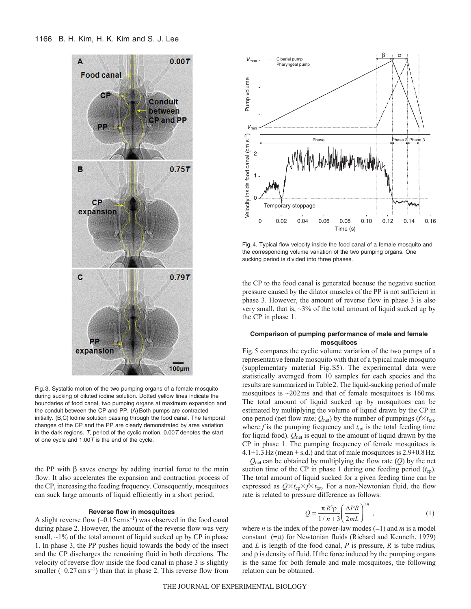

Fig. 3. Systaltic motion of the two pumping organs of a female mosquito during sucking of diluted iodine solution. Dotted yellow lines indicate the boundaries of food canal, two pumping organs at maximum expansion and the conduit between the CP and PP. (A) Both pumps are contracted initially. (B,C) lodine solution passing through the food canal. The temporal changes of the CP and the PP are clearly demonstrated by area variation in the dark regions.  $T$ , period of the cyclic motion. 0.00  $T$  denotes the start of one cycle and 1.00T is the end of the cycle.

the PP with  $\beta$  saves energy by adding inertial force to the main flow. It also accelerates the expansion and contraction process of the CP, increasing the feeding frequency. Consequently, mosquitoes can suck large amounts of liquid efficiently in a short period.

#### **Reverse flow in mosquitoes**

A slight reverse flow  $(-0.15 \text{ cm s}^{-1})$  was observed in the food canal during phase 2. However, the amount of the reverse flow was very small,  $\sim$ 1% of the total amount of liquid sucked up by CP in phase 1. In phase 3, the PP pushes liquid towards the body of the insect and the CP discharges the remaining fluid in both directions. The velocity of reverse flow inside the food canal in phase 3 is slightly smaller  $(-0.27 \text{ cm s}^{-1})$  than that in phase 2. This reverse flow from



Fig. 4. Typical flow velocity inside the food canal of a female mosquito and the corresponding volume variation of the two pumping organs. One sucking period is divided into three phases.

the CP to the food canal is generated because the negative suction pressure caused by the dilator muscles of the PP is not sufficient in phase 3. However, the amount of reverse flow in phase 3 is also very small, that is,  $\sim$ 3% of the total amount of liquid sucked up by the CP in phase 1.

## **Comparison of pumping performance of male and female mosquitoes**

Fig.5 compares the cyclic volume variation of the two pumps of a representative female mosquito with that of a typical male mosquito (supplementary material Fig.S5). The experimental data were statistically averaged from 10 samples for each species and the results are summarized in Table2. The liquid-sucking period of male mosquitoes is  $\sim$ 202 ms and that of female mosquitoes is 160 ms. The total amount of liquid sucked up by mosquitoes can be estimated by multiplying the volume of liquid drawn by the CP in one period (net flow rate;  $Q_{\text{net}}$ ) by the number of pumpings ( $f \times t_{\text{tot}}$ , where  $f$  is the pumping frequency and  $t_{\text{tot}}$  is the total feeding time for liquid food). *Q*net is equal to the amount of liquid drawn by the CP in phase 1. The pumping frequency of female mosquitoes is  $4.1\pm1.3$  Hz (mean  $\pm$  s.d.) and that of male mosquitoes is  $2.9\pm0.8$  Hz.

*Q*net can be obtained by multiplying the flow rate (*Q*) by the net suction time of the CP in phase 1 during one feeding period  $(t_{cp})$ . The total amount of liquid sucked for a given feeding time can be expressed as  $Q \times t_{cp} \times f \times t_{tot}$ . For a non-Newtonian fluid, the flow rate is related to pressure difference as follows:

$$
Q = \frac{\pi R^3 \rho}{1/n + 3} \left( \frac{\Delta PR}{2mL} \right)^{1/n}, \qquad (1)
$$

where *n* is the index of the power-law modes  $(=1)$  and *m* is a model constant  $(=\mu)$  for Newtonian fluids (Richard and Kenneth, 1979) and *L* is length of the food canal, *P* is pressure, *R* is tube radius, and  $\rho$  is density of fluid. If the force induced by the pumping organs is the same for both female and male mosquitoes, the following relation can be obtained.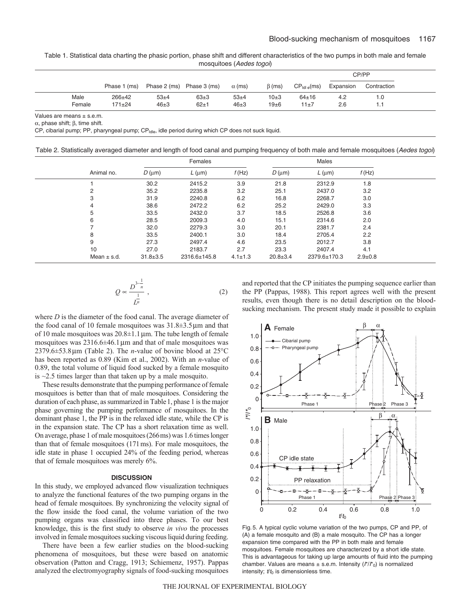Table 1. Statistical data charting the phasic portion, phase shift and different characteristics of the two pumps in both male and female mosquitoes (Aedes togoi)

|        |              |                           |          |               |              |                                   | CP/PP     |             |  |
|--------|--------------|---------------------------|----------|---------------|--------------|-----------------------------------|-----------|-------------|--|
|        | Phase 1 (ms) | Phase 2 (ms) Phase 3 (ms) |          | $\alpha$ (ms) | $\beta$ (ms) | $CP_{\text{IdL}}_{\text{e}}$ (ms) | Expansion | Contraction |  |
| Male   | $266 + 42$   | $53+4$                    | $63\pm3$ | $53+4$        | 10±3         | $64 \pm 16$                       | 4.2       | 1.0         |  |
| Female | $171 + 24$   | $46\pm3$                  | $62 + 1$ | $46\pm3$      | 19±6         | 11±7                              | 2.6       |             |  |

Values are means  $\pm$  s.e.m.

 $\alpha$ , phase shift;  $\beta$ , time shift.

CP, cibarial pump; PP, pharyngeal pump; CP<sub>Idle</sub>, idle period during which CP does not suck liquid.

Table 2. Statistically averaged diameter and length of food canal and pumping frequency of both male and female mosquitoes (Aedes togoi)

|                 | Females        |                |               |                |                |               |  |
|-----------------|----------------|----------------|---------------|----------------|----------------|---------------|--|
| Animal no.      | $D$ (um)       | $L$ ( $\mu$ m) | f(Hz)         | $D \, (\mu m)$ | $L$ ( $\mu$ m) | f(Hz)         |  |
|                 | 30.2           | 2415.2         | 3.9           | 21.8           | 2312.9         | 1.8           |  |
| 2               | 35.2           | 2235.8         | 3.2           | 25.1           | 2437.0         | 3.2           |  |
| 3               | 31.9           | 2240.8         | 6.2           | 16.8           | 2268.7         | 3.0           |  |
| $\overline{4}$  | 38.6           | 2472.2         | 6.2           | 25.2           | 2429.0         | 3.3           |  |
| 5               | 33.5           | 2432.0         | 3.7           | 18.5           | 2526.8         | 3.6           |  |
| 6               | 28.5           | 2009.3         | 4.0           | 15.1           | 2314.6         | 2.0           |  |
|                 | 32.0           | 2279.3         | 3.0           | 20.1           | 2381.7         | 2.4           |  |
| 8               | 33.5           | 2400.1         | 3.0           | 18.4           | 2705.4         | 2.2           |  |
| 9               | 27.3           | 2497.4         | 4.6           | 23.5           | 2012.7         | 3.8           |  |
| 10              | 27.0           | 2183.7         | 2.7           | 23.3           | 2407.4         | 4.1           |  |
| Mean $\pm$ s.d. | $31.8 \pm 3.5$ | 2316.6±145.8   | $4.1 \pm 1.3$ | $20.8 \pm 3.4$ | 2379.6±170.3   | $2.9 \pm 0.8$ |  |

$$
Q \propto \frac{D^{3-\frac{1}{n}}}{\frac{1}{L^n}},
$$
\n(2)

where *D* is the diameter of the food canal. The average diameter of the food canal of 10 female mosquitoes was  $31.8 \pm 3.5 \,\mu m$  and that of 10 male mosquitoes was  $20.8\pm1.1 \,\mu$ m. The tube length of female mosquitoes was  $2316.6\pm46.1\,\mu m$  and that of male mosquitoes was  $2379.6 \pm 53.8 \,\text{\mu m}$  (Table 2). The *n*-value of bovine blood at  $25^{\circ}\text{C}$ has been reported as 0.89 (Kim et al., 2002). With an *n*-value of 0.89, the total volume of liquid food sucked by a female mosquito is ~2.5 times larger than that taken up by a male mosquito.

These results demonstrate that the pumping performance of female mosquitoes is better than that of male mosquitoes. Considering the duration of each phase, as summarized in Table1, phase 1 is the major phase governing the pumping performance of mosquitoes. In the dominant phase 1, the PP is in the relaxed idle state, while the CP is in the expansion state. The CP has a short relaxation time as well. On average, phase 1 of male mosquitoes (266ms) was 1.6 times longer than that of female mosquitoes (171ms). For male mosquitoes, the idle state in phase 1 occupied 24% of the feeding period, whereas that of female mosquitoes was merely 6%.

#### **DISCUSSION**

In this study, we employed advanced flow visualization techniques to analyze the functional features of the two pumping organs in the head of female mosquitoes. By synchronizing the velocity signal of the flow inside the food canal, the volume variation of the two pumping organs was classified into three phases. To our best knowledge, this is the first study to observe *in vivo* the processes involved in female mosquitoes sucking viscous liquid during feeding.

There have been a few earlier studies on the blood-sucking phenomena of mosquitoes, but these were based on anatomic observation (Patton and Cragg, 1913; Schiemenz, 1957). Pappas analyzed the electromyography signals of food-sucking mosquitoes and reported that the CP initiates the pumping sequence earlier than the PP (Pappas, 1988). This report agrees well with the present results, even though there is no detail description on the bloodsucking mechanism. The present study made it possible to explain



Fig. 5. A typical cyclic volume variation of the two pumps, CP and PP, of (A) a female mosquito and (B) a male mosquito. The CP has a longer expansion time compared with the PP in both male and female mosquitoes. Female mosquitoes are characterized by a short idle state. This is advantageous for taking up large amounts of fluid into the pumping chamber. Values are means  $\pm$  s.e.m. Intensity  $(f'/f')$  is normalized intensity;  $t/t_0$  is dimensionless time.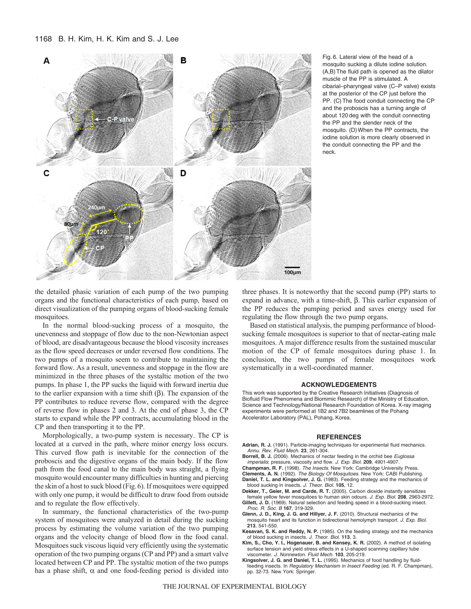#### 1168 B. H. Kim, H. K. Kim and S. J. Lee



Fig. 6. Lateral view of the head of a mosquito sucking a dilute iodine solution. (A,B)The fluid path is opened as the dilator muscle of the PP is stimulated. A cibarial–pharyngeal valve (C–P valve) exists at the posterior of the CP just before the PP. (C)The food conduit connecting the CP and the proboscis has a turning angle of about 120 deg with the conduit connecting the PP and the slender neck of the mosquito. (D)When the PP contracts, the iodine solution is more clearly observed in the conduit connecting the PP and the neck.

the detailed phasic variation of each pump of the two pumping organs and the functional characteristics of each pump, based on direct visualization of the pumping organs of blood-sucking female mosquitoes.

In the normal blood-sucking process of a mosquito, the unevenness and stoppage of flow due to the non-Newtonian aspect of blood, are disadvantageous because the blood viscosity increases as the flow speed decreases or under reversed flow conditions. The two pumps of a mosquito seem to contribute to maintaining the forward flow. As a result, unevenness and stoppage in the flow are minimized in the three phases of the systaltic motion of the two pumps. In phase 1, the PP sucks the liquid with forward inertia due to the earlier expansion with a time shift  $(\beta)$ . The expansion of the PP contributes to reduce reverse flow, compared with the degree of reverse flow in phases 2 and 3. At the end of phase 3, the CP starts to expand while the PP contracts, accumulating blood in the CP and then transporting it to the PP.

Morphologically, a two-pump system is necessary. The CP is located at a curved in the path, where minor energy loss occurs. This curved flow path is inevitable for the connection of the proboscis and the digestive organs of the main body. If the flow path from the food canal to the main body was straight, a flying mosquito would encounter many difficulties in hunting and piercing the skin of a host to suck blood (Fig.6). If mosquitoes were equipped with only one pump, it would be difficult to draw food from outside and to regulate the flow effectively.

In summary, the functional characteristics of the two-pump system of mosquitoes were analyzed in detail during the sucking process by estimating the volume variation of the two pumping organs and the velocity change of blood flow in the food canal. Mosquitoes suck viscous liquid very efficiently using the systematic operation of the two pumping organs (CP and PP) and a smart valve located between CP and PP. The systaltic motion of the two pumps has a phase shift,  $\alpha$  and one food-feeding period is divided into

three phases. It is noteworthy that the second pump (PP) starts to expand in advance, with a time-shift,  $\beta$ . This earlier expansion of the PP reduces the pumping period and saves energy used for regulating the flow through the two pump organs.

Based on statistical analysis, the pumping performance of bloodsucking female mosquitoes is superior to that of nectar-eating male mosquitoes. A major difference results from the sustained muscular motion of the CP of female mosquitoes during phase 1. In conclusion, the two pumps of female mosquitoes work systematically in a well-coordinated manner.

#### **ACKNOWLEDGEMENTS**

This work was supported by the Creative Research Initiatives (Diagnosis of Biofluid Flow Phenomena and Biomimic Research) of the Ministry of Education, Science and Technology/National Research Foundation of Korea. X-ray imaging experiments were performed at 1B2 and 7B2 beamlines of the Pohang Accelerator Laboratory (PAL), Pohang, Korea.

#### **REFERENCES**

- **Adrian, R. J.** (1991). Particle-imaging techniques for experimental fluid mechanics. Annu. Rev. Fluid Mech. **23**, 261-304.
- Borrell, B. J. (2006). Mechanics of nectar feeding in the orchid bee Euglossa imperialis: pressure, viscosity and flow. J. Exp. Biol. **209**, 4901-4907.
- **Champman, R. F.** (1998). The Insects. New York: Cambridge University Press.
- **Clements, A. N.** (1992). The Biology Of Mosquitoes. New York: CABI Publishing. **Daniel, T. L. and Kingsolver, J. G.** (1983). Feeding strategy and the mechanics of blood sucking in insects. J. Theor. Biol. **105**, 12.
- **Dekker, T., Geier, M. and Carde, R. T.** (2005). Carbon dioxide instantly sensitizes female yellow fever mosquitoes to human skin odours. J. Exp. Biol. **208**, 2963-2972.
- Gillett, J. D. (1969). Natural selection and feeding speed in a blood-sucking insect. Proc. R. Soc. B **167**, 319-329.
- **Glenn, J. D., King, J. G. and Hillyer, J. F.** (2010). Structural mechanics of the mosquito heart and its function in bidirectional hemolymph transport. J. Exp. Biol. **213**, 541-550.
- **Kesavan, S. K. and Reddy, N. P.** (1985). On the feeding strategy and the mechanics of blood sucking in insects. J. Theor. Biol. **113**, 3.
- **Kim, S., Cho, Y. I., Hogenauer, B. and Kensey, K. R.** (2002). A method of isolating surface tension and yield stress effects in a U-shaped scanning capillary tube viscometer. J. Nonnewton. Fluid Mech. **103**, 205-219.
- **Kingsolver, J. G. and Daniel, T. L.** (1995). Mechanics of food handling by fluidfeeding insects. In Regulatory Mechanism in Insect Feeding (ed. R. F. Champman), pp. 32-73. New York: Springer.